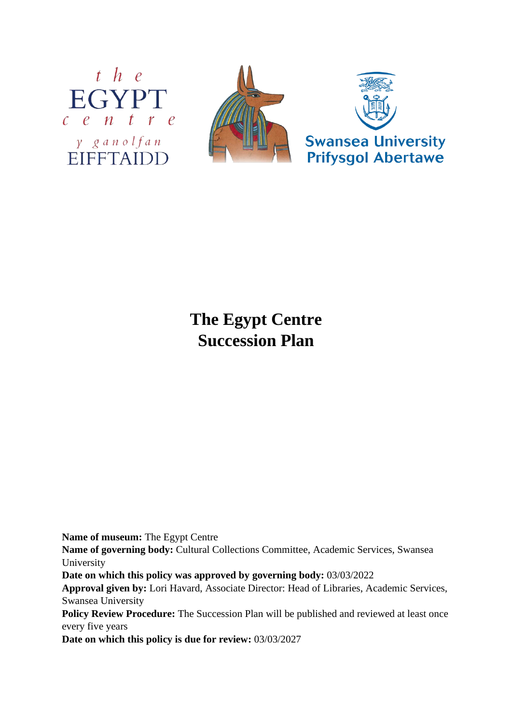



# **The Egypt Centre Succession Plan**

**Name of museum:** The Egypt Centre

**Name of governing body:** Cultural Collections Committee, Academic Services, Swansea University

**Date on which this policy was approved by governing body:** 03/03/2022

**Approval given by:** Lori Havard, Associate Director: Head of Libraries, Academic Services, Swansea University

Policy Review Procedure: The Succession Plan will be published and reviewed at least once every five years

**Date on which this policy is due for review:** 03/03/2027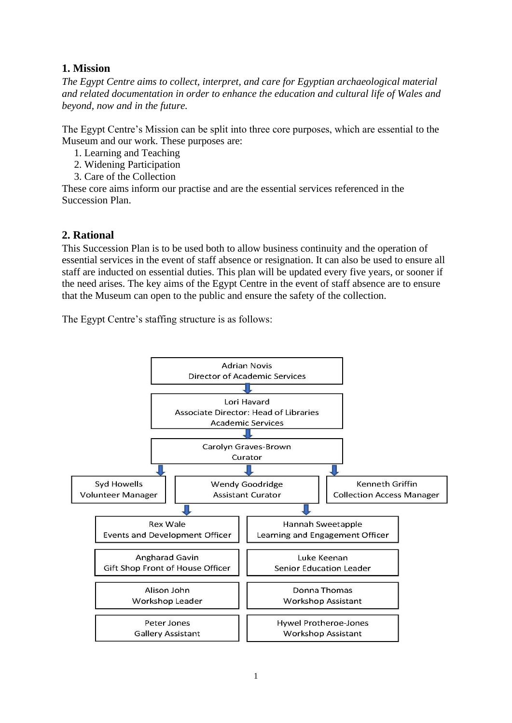## **1. Mission**

*The Egypt Centre aims to collect, interpret, and care for Egyptian archaeological material and related documentation in order to enhance the education and cultural life of Wales and beyond, now and in the future.*

The Egypt Centre's Mission can be split into three core purposes, which are essential to the Museum and our work. These purposes are:

- 1. Learning and Teaching
- 2. Widening Participation
- 3. Care of the Collection

These core aims inform our practise and are the essential services referenced in the Succession Plan.

### **2. Rational**

This Succession Plan is to be used both to allow business continuity and the operation of essential services in the event of staff absence or resignation. It can also be used to ensure all staff are inducted on essential duties. This plan will be updated every five years, or sooner if the need arises. The key aims of the Egypt Centre in the event of staff absence are to ensure that the Museum can open to the public and ensure the safety of the collection.

The Egypt Centre's staffing structure is as follows:

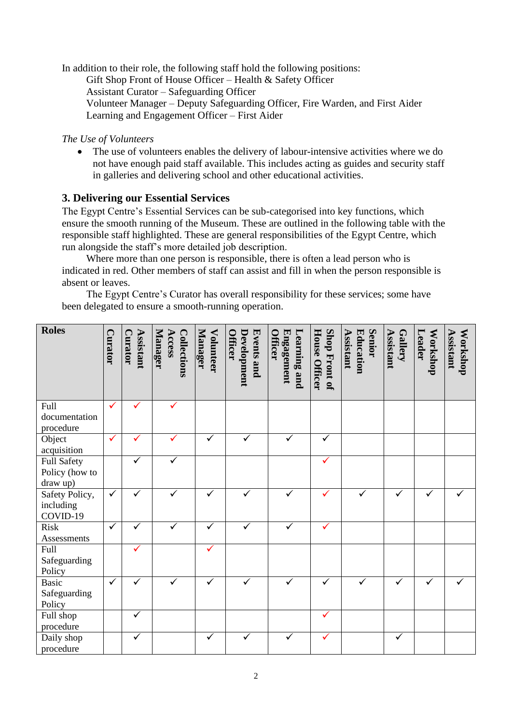In addition to their role, the following staff hold the following positions: Gift Shop Front of House Officer – Health & Safety Officer Assistant Curator – Safeguarding Officer Volunteer Manager – Deputy Safeguarding Officer, Fire Warden, and First Aider Learning and Engagement Officer – First Aider

#### *The Use of Volunteers*

• The use of volunteers enables the delivery of labour-intensive activities where we do not have enough paid staff available. This includes acting as guides and security staff in galleries and delivering school and other educational activities.

#### **3. Delivering our Essential Services**

The Egypt Centre's Essential Services can be sub-categorised into key functions, which ensure the smooth running of the Museum. These are outlined in the following table with the responsible staff highlighted. These are general responsibilities of the Egypt Centre, which run alongside the staff's more detailed job description.

Where more than one person is responsible, there is often a lead person who is indicated in red. Other members of staff can assist and fill in when the person responsible is absent or leaves.

The Egypt Centre's Curator has overall responsibility for these services; some have been delegated to ensure a smooth-running operation.

| <b>Roles</b>          |              |                      |                                         |                             |                                                    |                                                     |                                       |                                         |                             |                           |                       |
|-----------------------|--------------|----------------------|-----------------------------------------|-----------------------------|----------------------------------------------------|-----------------------------------------------------|---------------------------------------|-----------------------------------------|-----------------------------|---------------------------|-----------------------|
|                       | Curator      | Assistant<br>Curator | Manager<br>Access<br><b>Collections</b> | Manager<br><b>Volunteer</b> | Development<br><b>Events and</b><br><b>Officer</b> | Engagement<br><b>Learning and</b><br><b>Officer</b> |                                       | <b>Senior</b><br>Assistant<br>Education | Assistant<br><b>Gallery</b> | Workshop<br><b>Leader</b> | Assistant<br>Workshop |
|                       |              |                      |                                         |                             |                                                    |                                                     |                                       |                                         |                             |                           |                       |
|                       |              |                      |                                         |                             |                                                    |                                                     | Shop Front of<br><b>House Officer</b> |                                         |                             |                           |                       |
| Full                  | ✓            | ✓                    | ✓                                       |                             |                                                    |                                                     |                                       |                                         |                             |                           |                       |
| documentation         |              |                      |                                         |                             |                                                    |                                                     |                                       |                                         |                             |                           |                       |
| procedure             |              |                      |                                         |                             |                                                    |                                                     |                                       |                                         |                             |                           |                       |
| Object                | $\checkmark$ | ✓                    |                                         | ✓                           |                                                    |                                                     | $\checkmark$                          |                                         |                             |                           |                       |
| acquisition           |              |                      |                                         |                             |                                                    |                                                     |                                       |                                         |                             |                           |                       |
| Full Safety           |              | ✓                    | ✓                                       |                             |                                                    |                                                     |                                       |                                         |                             |                           |                       |
| Policy (how to        |              |                      |                                         |                             |                                                    |                                                     |                                       |                                         |                             |                           |                       |
| draw up)              |              | ✓                    | ✓                                       |                             | ✓                                                  | ✓                                                   | ✓                                     |                                         |                             | $\checkmark$              |                       |
| Safety Policy,        | $\checkmark$ |                      |                                         | ✓                           |                                                    |                                                     |                                       | $\checkmark$                            | ✓                           |                           |                       |
| including<br>COVID-19 |              |                      |                                         |                             |                                                    |                                                     |                                       |                                         |                             |                           |                       |
| Risk                  | ✓            | ✓                    | ✓                                       | $\checkmark$                | ✓                                                  | ✓                                                   | ✓                                     |                                         |                             |                           |                       |
| Assessments           |              |                      |                                         |                             |                                                    |                                                     |                                       |                                         |                             |                           |                       |
| Full                  |              |                      |                                         | ✓                           |                                                    |                                                     |                                       |                                         |                             |                           |                       |
| Safeguarding          |              |                      |                                         |                             |                                                    |                                                     |                                       |                                         |                             |                           |                       |
| Policy                |              |                      |                                         |                             |                                                    |                                                     |                                       |                                         |                             |                           |                       |
| <b>Basic</b>          | $\checkmark$ | ✓                    | ✓                                       | ✓                           | ✓                                                  | ✓                                                   | ✓                                     | ✓                                       | $\checkmark$                | $\checkmark$              |                       |
| Safeguarding          |              |                      |                                         |                             |                                                    |                                                     |                                       |                                         |                             |                           |                       |
| Policy                |              |                      |                                         |                             |                                                    |                                                     |                                       |                                         |                             |                           |                       |
| Full shop             |              | ✓                    |                                         |                             |                                                    |                                                     | $\checkmark$                          |                                         |                             |                           |                       |
| procedure             |              |                      |                                         |                             |                                                    |                                                     |                                       |                                         |                             |                           |                       |
| Daily shop            |              |                      |                                         | ✓                           |                                                    |                                                     | ✓                                     |                                         | ✓                           |                           |                       |
| procedure             |              |                      |                                         |                             |                                                    |                                                     |                                       |                                         |                             |                           |                       |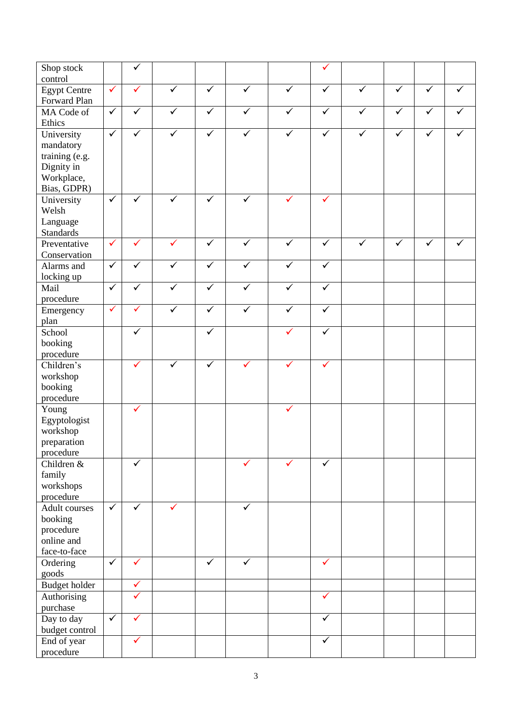| Shop stock               |              |              |                         |                         |                         |                         |              |                         |              |              |              |
|--------------------------|--------------|--------------|-------------------------|-------------------------|-------------------------|-------------------------|--------------|-------------------------|--------------|--------------|--------------|
| control                  |              |              |                         |                         |                         |                         |              |                         |              |              |              |
| <b>Egypt Centre</b>      | $\checkmark$ | ✓            | $\overline{\checkmark}$ | $\checkmark$            | $\checkmark$            | $\checkmark$            | $\checkmark$ | $\overline{\checkmark}$ | $\checkmark$ | $\checkmark$ | $\checkmark$ |
| Forward Plan             |              |              |                         |                         |                         |                         |              |                         |              |              |              |
| MA Code of               | $\checkmark$ | $\checkmark$ | $\checkmark$            | $\checkmark$            | $\checkmark$            | $\checkmark$            | $\sqrt{ }$   | $\checkmark$            | $\checkmark$ | $\checkmark$ | ✓            |
| Ethics                   |              |              |                         |                         |                         |                         |              |                         |              |              |              |
| University               | $\checkmark$ | ✓            | $\checkmark$            | $\checkmark$            | $\checkmark$            | ✓                       | $\checkmark$ | $\checkmark$            | $\checkmark$ | ✓            |              |
| mandatory                |              |              |                         |                         |                         |                         |              |                         |              |              |              |
| training (e.g.           |              |              |                         |                         |                         |                         |              |                         |              |              |              |
| Dignity in               |              |              |                         |                         |                         |                         |              |                         |              |              |              |
| Workplace,               |              |              |                         |                         |                         |                         |              |                         |              |              |              |
| Bias, GDPR)              |              |              |                         |                         |                         |                         |              |                         |              |              |              |
| University               | $\checkmark$ | ✓            | $\checkmark$            | $\checkmark$            | $\checkmark$            | ✓                       | ✓            |                         |              |              |              |
| Welsh                    |              |              |                         |                         |                         |                         |              |                         |              |              |              |
| Language                 |              |              |                         |                         |                         |                         |              |                         |              |              |              |
| <b>Standards</b>         |              |              |                         |                         |                         |                         |              |                         |              |              |              |
| Preventative             | $\checkmark$ | ✓            | $\checkmark$            | $\checkmark$            | $\checkmark$            | $\checkmark$            | $\checkmark$ | $\checkmark$            | ✓            | ✓            | ✓            |
| Conservation             |              |              |                         |                         |                         |                         |              |                         |              |              |              |
| Alarms and               | $\checkmark$ | $\checkmark$ | $\checkmark$            | $\checkmark$            | $\overline{\checkmark}$ | $\checkmark$            | $\checkmark$ |                         |              |              |              |
| locking up               |              |              |                         |                         |                         |                         |              |                         |              |              |              |
| Mail                     | $\checkmark$ | $\checkmark$ | $\overline{\checkmark}$ | $\overline{\checkmark}$ | $\overline{\checkmark}$ | $\overline{\checkmark}$ | $\checkmark$ |                         |              |              |              |
| procedure                |              |              |                         |                         |                         |                         |              |                         |              |              |              |
| Emergency                | $\checkmark$ | ✓            | ✓                       | $\checkmark$            | $\checkmark$            | ✓                       | $\checkmark$ |                         |              |              |              |
| plan                     |              |              |                         |                         |                         |                         |              |                         |              |              |              |
| School                   |              | ✓            |                         | $\checkmark$            |                         | ✓                       | $\checkmark$ |                         |              |              |              |
| booking                  |              |              |                         |                         |                         |                         |              |                         |              |              |              |
| procedure                |              |              |                         |                         |                         |                         |              |                         |              |              |              |
| Children's               |              |              | ✓                       | $\checkmark$            |                         |                         |              |                         |              |              |              |
| workshop                 |              |              |                         |                         |                         |                         |              |                         |              |              |              |
| booking                  |              |              |                         |                         |                         |                         |              |                         |              |              |              |
| procedure                |              |              |                         |                         |                         |                         |              |                         |              |              |              |
| Young                    |              | ✓            |                         |                         |                         | ✓                       |              |                         |              |              |              |
| Egyptologist             |              |              |                         |                         |                         |                         |              |                         |              |              |              |
| workshop                 |              |              |                         |                         |                         |                         |              |                         |              |              |              |
| preparation              |              |              |                         |                         |                         |                         |              |                         |              |              |              |
| procedure                |              |              |                         |                         |                         |                         |              |                         |              |              |              |
| Children $\overline{\&}$ |              | ✓            |                         |                         | ✓                       |                         | ✓            |                         |              |              |              |
| family                   |              |              |                         |                         |                         |                         |              |                         |              |              |              |
| workshops                |              |              |                         |                         |                         |                         |              |                         |              |              |              |
| procedure                |              |              |                         |                         |                         |                         |              |                         |              |              |              |
| Adult courses            | $\checkmark$ | $\checkmark$ | ✓                       |                         | $\overline{\checkmark}$ |                         |              |                         |              |              |              |
| booking                  |              |              |                         |                         |                         |                         |              |                         |              |              |              |
| procedure                |              |              |                         |                         |                         |                         |              |                         |              |              |              |
| online and               |              |              |                         |                         |                         |                         |              |                         |              |              |              |
| face-to-face             |              |              |                         |                         |                         |                         |              |                         |              |              |              |
| Ordering                 | $\checkmark$ | ✓            |                         | $\checkmark$            | $\checkmark$            |                         | ✓            |                         |              |              |              |
| goods                    |              |              |                         |                         |                         |                         |              |                         |              |              |              |
| Budget holder            |              | $\checkmark$ |                         |                         |                         |                         |              |                         |              |              |              |
| Authorising              |              | ✓            |                         |                         |                         |                         | $\checkmark$ |                         |              |              |              |
| purchase                 |              |              |                         |                         |                         |                         |              |                         |              |              |              |
| Day to day               | $\checkmark$ |              |                         |                         |                         |                         | ✓            |                         |              |              |              |
| budget control           |              |              |                         |                         |                         |                         |              |                         |              |              |              |
| End of year              |              | $\checkmark$ |                         |                         |                         |                         | $\checkmark$ |                         |              |              |              |
| procedure                |              |              |                         |                         |                         |                         |              |                         |              |              |              |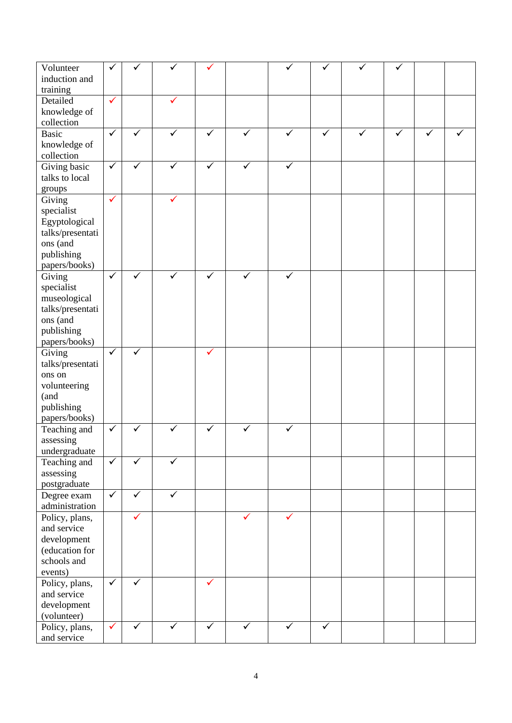| Volunteer        | ✓            |              |              |              |              |              |              |   |              |   |  |
|------------------|--------------|--------------|--------------|--------------|--------------|--------------|--------------|---|--------------|---|--|
|                  |              |              |              |              |              |              |              |   |              |   |  |
| induction and    |              |              |              |              |              |              |              |   |              |   |  |
| training         |              |              |              |              |              |              |              |   |              |   |  |
| Detailed         | $\checkmark$ |              |              |              |              |              |              |   |              |   |  |
| knowledge of     |              |              |              |              |              |              |              |   |              |   |  |
| collection       |              |              |              |              |              |              |              |   |              |   |  |
| <b>Basic</b>     | $\checkmark$ | ✓            | ✓            | $\checkmark$ | ✓            | ✓            | $\checkmark$ | ✓ | $\checkmark$ | ✓ |  |
|                  |              |              |              |              |              |              |              |   |              |   |  |
| knowledge of     |              |              |              |              |              |              |              |   |              |   |  |
| collection       |              |              |              |              |              |              |              |   |              |   |  |
| Giving basic     | $\checkmark$ | $\checkmark$ | $\checkmark$ | $\checkmark$ | $\checkmark$ | $\checkmark$ |              |   |              |   |  |
| talks to local   |              |              |              |              |              |              |              |   |              |   |  |
| groups           |              |              |              |              |              |              |              |   |              |   |  |
| Giving           | $\checkmark$ |              |              |              |              |              |              |   |              |   |  |
| specialist       |              |              |              |              |              |              |              |   |              |   |  |
|                  |              |              |              |              |              |              |              |   |              |   |  |
| Egyptological    |              |              |              |              |              |              |              |   |              |   |  |
| talks/presentati |              |              |              |              |              |              |              |   |              |   |  |
| ons (and         |              |              |              |              |              |              |              |   |              |   |  |
| publishing       |              |              |              |              |              |              |              |   |              |   |  |
| papers/books)    |              |              |              |              |              |              |              |   |              |   |  |
| Giving           | $\checkmark$ |              |              | ✓            | ✓            | ✓            |              |   |              |   |  |
| specialist       |              |              |              |              |              |              |              |   |              |   |  |
| museological     |              |              |              |              |              |              |              |   |              |   |  |
| talks/presentati |              |              |              |              |              |              |              |   |              |   |  |
|                  |              |              |              |              |              |              |              |   |              |   |  |
| ons (and         |              |              |              |              |              |              |              |   |              |   |  |
| publishing       |              |              |              |              |              |              |              |   |              |   |  |
| papers/books)    |              |              |              |              |              |              |              |   |              |   |  |
| Giving           | $\checkmark$ | $\checkmark$ |              | $\checkmark$ |              |              |              |   |              |   |  |
| talks/presentati |              |              |              |              |              |              |              |   |              |   |  |
| ons on           |              |              |              |              |              |              |              |   |              |   |  |
| volunteering     |              |              |              |              |              |              |              |   |              |   |  |
| (and             |              |              |              |              |              |              |              |   |              |   |  |
|                  |              |              |              |              |              |              |              |   |              |   |  |
| publishing       |              |              |              |              |              |              |              |   |              |   |  |
| papers/books)    |              |              |              |              |              |              |              |   |              |   |  |
| Teaching and     | $\checkmark$ | ✓            | ✓            | ✓            | ✓            | $\checkmark$ |              |   |              |   |  |
| assessing        |              |              |              |              |              |              |              |   |              |   |  |
| undergraduate    |              |              |              |              |              |              |              |   |              |   |  |
| Teaching and     | $\checkmark$ | ✓            | $\checkmark$ |              |              |              |              |   |              |   |  |
| assessing        |              |              |              |              |              |              |              |   |              |   |  |
| postgraduate     |              |              |              |              |              |              |              |   |              |   |  |
| Degree exam      | $\checkmark$ | ✓            | $\checkmark$ |              |              |              |              |   |              |   |  |
|                  |              |              |              |              |              |              |              |   |              |   |  |
| administration   |              |              |              |              |              |              |              |   |              |   |  |
| Policy, plans,   |              | $\checkmark$ |              |              | $\checkmark$ | ✓            |              |   |              |   |  |
| and service      |              |              |              |              |              |              |              |   |              |   |  |
| development      |              |              |              |              |              |              |              |   |              |   |  |
| (education for   |              |              |              |              |              |              |              |   |              |   |  |
| schools and      |              |              |              |              |              |              |              |   |              |   |  |
| events)          |              |              |              |              |              |              |              |   |              |   |  |
| Policy, plans,   | $\checkmark$ | $\checkmark$ |              | ✓            |              |              |              |   |              |   |  |
| and service      |              |              |              |              |              |              |              |   |              |   |  |
|                  |              |              |              |              |              |              |              |   |              |   |  |
| development      |              |              |              |              |              |              |              |   |              |   |  |
| (volunteer)      |              |              |              |              |              |              |              |   |              |   |  |
| Policy, plans,   | $\checkmark$ | $\checkmark$ | $\checkmark$ | $\checkmark$ | $\checkmark$ | $\checkmark$ | $\checkmark$ |   |              |   |  |
| and service      |              |              |              |              |              |              |              |   |              |   |  |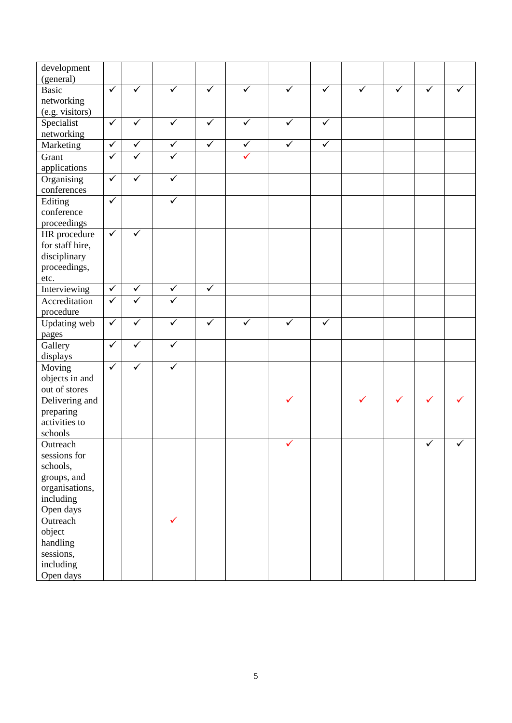| development     |                         |              |              |              |                         |              |                         |              |              |   |   |
|-----------------|-------------------------|--------------|--------------|--------------|-------------------------|--------------|-------------------------|--------------|--------------|---|---|
| (general)       |                         | $\checkmark$ | ✓            |              | $\overline{\checkmark}$ |              |                         |              |              |   |   |
| <b>Basic</b>    | $\overline{\checkmark}$ |              |              | $\checkmark$ |                         | $\checkmark$ | $\overline{\checkmark}$ | ✓            | $\checkmark$ | ✓ |   |
| networking      |                         |              |              |              |                         |              |                         |              |              |   |   |
| (e.g. visitors) |                         |              |              |              |                         |              |                         |              |              |   |   |
| Specialist      | $\checkmark$            | ✓            | $\checkmark$ | $\checkmark$ | $\checkmark$            | $\checkmark$ | $\checkmark$            |              |              |   |   |
| networking      |                         |              |              |              |                         |              |                         |              |              |   |   |
| Marketing       | $\checkmark$            | $\checkmark$ | $\checkmark$ | $\checkmark$ | $\checkmark$            | $\checkmark$ | $\checkmark$            |              |              |   |   |
| Grant           | $\checkmark$            | ✓            | $\checkmark$ |              | ✓                       |              |                         |              |              |   |   |
| applications    |                         |              |              |              |                         |              |                         |              |              |   |   |
| Organising      | $\checkmark$            | $\checkmark$ | $\checkmark$ |              |                         |              |                         |              |              |   |   |
| conferences     |                         |              |              |              |                         |              |                         |              |              |   |   |
| Editing         | $\checkmark$            |              |              |              |                         |              |                         |              |              |   |   |
| conference      |                         |              |              |              |                         |              |                         |              |              |   |   |
| proceedings     |                         |              |              |              |                         |              |                         |              |              |   |   |
| HR procedure    | $\checkmark$            | $\checkmark$ |              |              |                         |              |                         |              |              |   |   |
|                 |                         |              |              |              |                         |              |                         |              |              |   |   |
| for staff hire, |                         |              |              |              |                         |              |                         |              |              |   |   |
| disciplinary    |                         |              |              |              |                         |              |                         |              |              |   |   |
| proceedings,    |                         |              |              |              |                         |              |                         |              |              |   |   |
| etc.            |                         |              |              |              |                         |              |                         |              |              |   |   |
| Interviewing    | $\checkmark$            | $\checkmark$ | $\checkmark$ | $\checkmark$ |                         |              |                         |              |              |   |   |
| Accreditation   | $\checkmark$            | ✓            | ✓            |              |                         |              |                         |              |              |   |   |
| procedure       |                         |              |              |              |                         |              |                         |              |              |   |   |
| Updating web    | $\checkmark$            | $\checkmark$ | $\checkmark$ | $\checkmark$ | $\checkmark$            | $\checkmark$ | $\checkmark$            |              |              |   |   |
| pages           |                         |              |              |              |                         |              |                         |              |              |   |   |
| Gallery         | $\checkmark$            |              | ✓            |              |                         |              |                         |              |              |   |   |
| displays        |                         |              |              |              |                         |              |                         |              |              |   |   |
| Moving          | $\checkmark$            | ✓            | ✓            |              |                         |              |                         |              |              |   |   |
| objects in and  |                         |              |              |              |                         |              |                         |              |              |   |   |
| out of stores   |                         |              |              |              |                         |              |                         |              |              |   |   |
| Delivering and  |                         |              |              |              |                         | $\checkmark$ |                         | $\checkmark$ | $\checkmark$ | ✓ |   |
| preparing       |                         |              |              |              |                         |              |                         |              |              |   |   |
| activities to   |                         |              |              |              |                         |              |                         |              |              |   |   |
| schools         |                         |              |              |              |                         |              |                         |              |              |   |   |
| Outreach        |                         |              |              |              |                         | ✓            |                         |              |              | ✓ | ✓ |
| sessions for    |                         |              |              |              |                         |              |                         |              |              |   |   |
|                 |                         |              |              |              |                         |              |                         |              |              |   |   |
| schools,        |                         |              |              |              |                         |              |                         |              |              |   |   |
| groups, and     |                         |              |              |              |                         |              |                         |              |              |   |   |
| organisations,  |                         |              |              |              |                         |              |                         |              |              |   |   |
| including       |                         |              |              |              |                         |              |                         |              |              |   |   |
| Open days       |                         |              |              |              |                         |              |                         |              |              |   |   |
| Outreach        |                         |              | ✓            |              |                         |              |                         |              |              |   |   |
| object          |                         |              |              |              |                         |              |                         |              |              |   |   |
| handling        |                         |              |              |              |                         |              |                         |              |              |   |   |
| sessions,       |                         |              |              |              |                         |              |                         |              |              |   |   |
| including       |                         |              |              |              |                         |              |                         |              |              |   |   |
| Open days       |                         |              |              |              |                         |              |                         |              |              |   |   |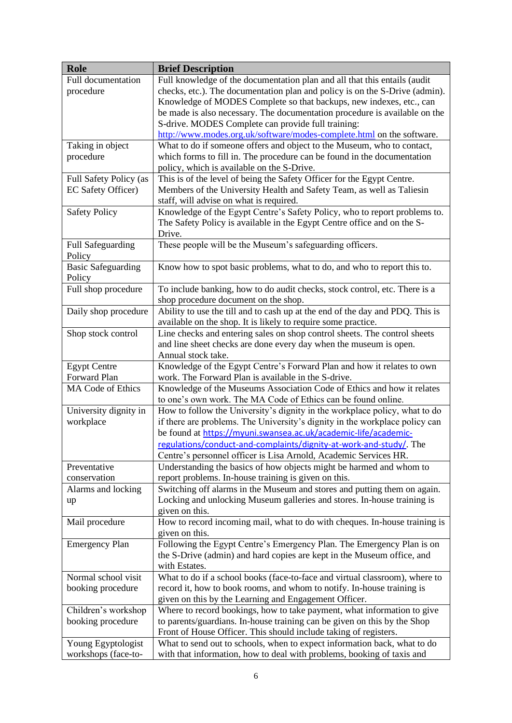| <b>Role</b>               | <b>Brief Description</b>                                                      |
|---------------------------|-------------------------------------------------------------------------------|
| Full documentation        | Full knowledge of the documentation plan and all that this entails (audit     |
| procedure                 | checks, etc.). The documentation plan and policy is on the S-Drive (admin).   |
|                           | Knowledge of MODES Complete so that backups, new indexes, etc., can           |
|                           | be made is also necessary. The documentation procedure is available on the    |
|                           | S-drive. MODES Complete can provide full training:                            |
|                           | http://www.modes.org.uk/software/modes-complete.html on the software.         |
| Taking in object          | What to do if someone offers and object to the Museum, who to contact,        |
| procedure                 | which forms to fill in. The procedure can be found in the documentation       |
|                           | policy, which is available on the S-Drive.                                    |
| Full Safety Policy (as    | This is of the level of being the Safety Officer for the Egypt Centre.        |
| EC Safety Officer)        | Members of the University Health and Safety Team, as well as Taliesin         |
|                           | staff, will advise on what is required.                                       |
| <b>Safety Policy</b>      | Knowledge of the Egypt Centre's Safety Policy, who to report problems to.     |
|                           | The Safety Policy is available in the Egypt Centre office and on the S-       |
|                           | Drive.                                                                        |
| <b>Full Safeguarding</b>  | These people will be the Museum's safeguarding officers.                      |
| Policy                    |                                                                               |
| <b>Basic Safeguarding</b> | Know how to spot basic problems, what to do, and who to report this to.       |
| Policy                    |                                                                               |
| Full shop procedure       | To include banking, how to do audit checks, stock control, etc. There is a    |
|                           | shop procedure document on the shop.                                          |
| Daily shop procedure      | Ability to use the till and to cash up at the end of the day and PDQ. This is |
|                           | available on the shop. It is likely to require some practice.                 |
| Shop stock control        | Line checks and entering sales on shop control sheets. The control sheets     |
|                           | and line sheet checks are done every day when the museum is open.             |
|                           | Annual stock take.                                                            |
| <b>Egypt Centre</b>       | Knowledge of the Egypt Centre's Forward Plan and how it relates to own        |
| Forward Plan              | work. The Forward Plan is available in the S-drive.                           |
| <b>MA Code of Ethics</b>  | Knowledge of the Museums Association Code of Ethics and how it relates        |
|                           | to one's own work. The MA Code of Ethics can be found online.                 |
| University dignity in     | How to follow the University's dignity in the workplace policy, what to do    |
| workplace                 | if there are problems. The University's dignity in the workplace policy can   |
|                           | be found at https://myuni.swansea.ac.uk/academic-life/academic-               |
|                           | regulations/conduct-and-complaints/dignity-at-work-and-study/. The            |
|                           | Centre's personnel officer is Lisa Arnold, Academic Services HR.              |
| Preventative              | Understanding the basics of how objects might be harmed and whom to           |
| conservation              | report problems. In-house training is given on this.                          |
| Alarms and locking        | Switching off alarms in the Museum and stores and putting them on again.      |
| up                        | Locking and unlocking Museum galleries and stores. In-house training is       |
|                           | given on this.                                                                |
| Mail procedure            | How to record incoming mail, what to do with cheques. In-house training is    |
|                           | given on this.                                                                |
| <b>Emergency Plan</b>     | Following the Egypt Centre's Emergency Plan. The Emergency Plan is on         |
|                           | the S-Drive (admin) and hard copies are kept in the Museum office, and        |
|                           | with Estates.                                                                 |
| Normal school visit       | What to do if a school books (face-to-face and virtual classroom), where to   |
| booking procedure         | record it, how to book rooms, and whom to notify. In-house training is        |
|                           | given on this by the Learning and Engagement Officer.                         |
| Children's workshop       | Where to record bookings, how to take payment, what information to give       |
| booking procedure         | to parents/guardians. In-house training can be given on this by the Shop      |
|                           | Front of House Officer. This should include taking of registers.              |
| Young Egyptologist        | What to send out to schools, when to expect information back, what to do      |
| workshops (face-to-       | with that information, how to deal with problems, booking of taxis and        |
|                           |                                                                               |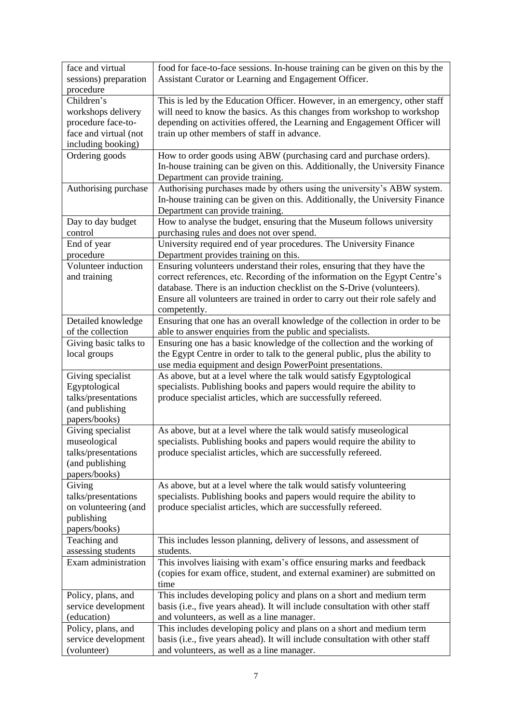| face and virtual      | food for face-to-face sessions. In-house training can be given on this by the |
|-----------------------|-------------------------------------------------------------------------------|
| sessions) preparation | Assistant Curator or Learning and Engagement Officer.                         |
| procedure             |                                                                               |
| Children's            | This is led by the Education Officer. However, in an emergency, other staff   |
| workshops delivery    | will need to know the basics. As this changes from workshop to workshop       |
| procedure face-to-    | depending on activities offered, the Learning and Engagement Officer will     |
| face and virtual (not | train up other members of staff in advance.                                   |
| including booking)    |                                                                               |
| Ordering goods        | How to order goods using ABW (purchasing card and purchase orders).           |
|                       | In-house training can be given on this. Additionally, the University Finance  |
|                       | Department can provide training.                                              |
| Authorising purchase  | Authorising purchases made by others using the university's ABW system.       |
|                       | In-house training can be given on this. Additionally, the University Finance  |
|                       | Department can provide training.                                              |
| Day to day budget     | How to analyse the budget, ensuring that the Museum follows university        |
| control               | purchasing rules and does not over spend.                                     |
| End of year           | University required end of year procedures. The University Finance            |
|                       |                                                                               |
| procedure             | Department provides training on this.                                         |
| Volunteer induction   | Ensuring volunteers understand their roles, ensuring that they have the       |
| and training          | correct references, etc. Recording of the information on the Egypt Centre's   |
|                       | database. There is an induction checklist on the S-Drive (volunteers).        |
|                       | Ensure all volunteers are trained in order to carry out their role safely and |
|                       | competently.                                                                  |
| Detailed knowledge    | Ensuring that one has an overall knowledge of the collection in order to be   |
| of the collection     | able to answer enquiries from the public and specialists.                     |
| Giving basic talks to | Ensuring one has a basic knowledge of the collection and the working of       |
| local groups          | the Egypt Centre in order to talk to the general public, plus the ability to  |
|                       | use media equipment and design PowerPoint presentations.                      |
| Giving specialist     | As above, but at a level where the talk would satisfy Egyptological           |
| Egyptological         | specialists. Publishing books and papers would require the ability to         |
| talks/presentations   | produce specialist articles, which are successfully refereed.                 |
| (and publishing       |                                                                               |
| papers/books)         |                                                                               |
| Giving specialist     | As above, but at a level where the talk would satisfy museological            |
| museological          | specialists. Publishing books and papers would require the ability to         |
| talks/presentations   | produce specialist articles, which are successfully refereed.                 |
| (and publishing       |                                                                               |
| papers/books)         |                                                                               |
| Giving                | As above, but at a level where the talk would satisfy volunteering            |
| talks/presentations   | specialists. Publishing books and papers would require the ability to         |
| on volunteering (and  | produce specialist articles, which are successfully refereed.                 |
| publishing            |                                                                               |
| papers/books)         |                                                                               |
| Teaching and          | This includes lesson planning, delivery of lessons, and assessment of         |
| assessing students    | students.                                                                     |
| Exam administration   | This involves liaising with exam's office ensuring marks and feedback         |
|                       | (copies for exam office, student, and external examiner) are submitted on     |
|                       | time                                                                          |
| Policy, plans, and    | This includes developing policy and plans on a short and medium term          |
| service development   | basis (i.e., five years ahead). It will include consultation with other staff |
| (education)           | and volunteers, as well as a line manager.                                    |
| Policy, plans, and    | This includes developing policy and plans on a short and medium term          |
| service development   | basis (i.e., five years ahead). It will include consultation with other staff |
| (volunteer)           | and volunteers, as well as a line manager.                                    |
|                       |                                                                               |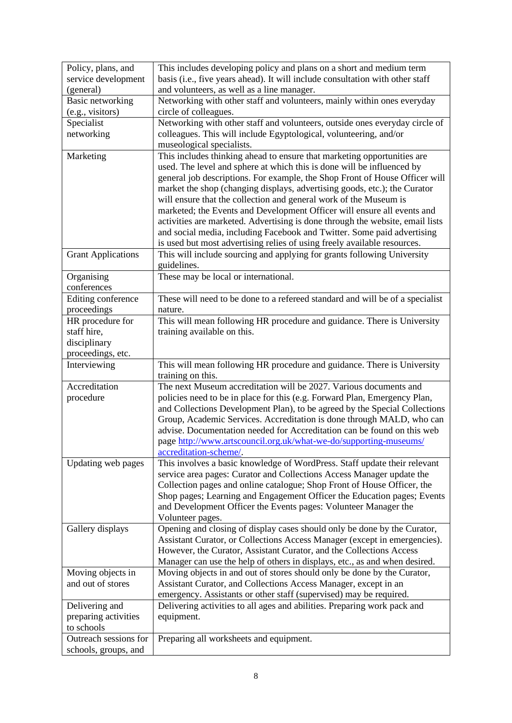| Policy, plans, and        | This includes developing policy and plans on a short and medium term          |
|---------------------------|-------------------------------------------------------------------------------|
| service development       | basis (i.e., five years ahead). It will include consultation with other staff |
| (general)                 | and volunteers, as well as a line manager.                                    |
| Basic networking          | Networking with other staff and volunteers, mainly within ones everyday       |
| (e.g., visitors)          | circle of colleagues.                                                         |
| Specialist                | Networking with other staff and volunteers, outside ones everyday circle of   |
| networking                | colleagues. This will include Egyptological, volunteering, and/or             |
|                           | museological specialists.                                                     |
| Marketing                 | This includes thinking ahead to ensure that marketing opportunities are       |
|                           | used. The level and sphere at which this is done will be influenced by        |
|                           | general job descriptions. For example, the Shop Front of House Officer will   |
|                           | market the shop (changing displays, advertising goods, etc.); the Curator     |
|                           | will ensure that the collection and general work of the Museum is             |
|                           | marketed; the Events and Development Officer will ensure all events and       |
|                           | activities are marketed. Advertising is done through the website, email lists |
|                           | and social media, including Facebook and Twitter. Some paid advertising       |
|                           | is used but most advertising relies of using freely available resources.      |
| <b>Grant Applications</b> | This will include sourcing and applying for grants following University       |
|                           | guidelines.                                                                   |
| Organising                | These may be local or international.                                          |
| conferences               |                                                                               |
| Editing conference        | These will need to be done to a refereed standard and will be of a specialist |
| proceedings               | nature.                                                                       |
| HR procedure for          | This will mean following HR procedure and guidance. There is University       |
| staff hire,               | training available on this.                                                   |
| disciplinary              |                                                                               |
| proceedings, etc.         |                                                                               |
|                           |                                                                               |
| Interviewing              | This will mean following HR procedure and guidance. There is University       |
|                           | training on this.                                                             |
| Accreditation             | The next Museum accreditation will be 2027. Various documents and             |
| procedure                 | policies need to be in place for this (e.g. Forward Plan, Emergency Plan,     |
|                           | and Collections Development Plan), to be agreed by the Special Collections    |
|                           | Group, Academic Services. Accreditation is done through MALD, who can         |
|                           | advise. Documentation needed for Accreditation can be found on this web       |
|                           | page http://www.artscouncil.org.uk/what-we-do/supporting-museums/             |
|                           | accreditation-scheme/.                                                        |
| Updating web pages        | This involves a basic knowledge of WordPress. Staff update their relevant     |
|                           | service area pages: Curator and Collections Access Manager update the         |
|                           | Collection pages and online catalogue; Shop Front of House Officer, the       |
|                           | Shop pages; Learning and Engagement Officer the Education pages; Events       |
|                           | and Development Officer the Events pages: Volunteer Manager the               |
|                           | Volunteer pages.                                                              |
| Gallery displays          | Opening and closing of display cases should only be done by the Curator,      |
|                           | Assistant Curator, or Collections Access Manager (except in emergencies).     |
|                           | However, the Curator, Assistant Curator, and the Collections Access           |
|                           | Manager can use the help of others in displays, etc., as and when desired.    |
| Moving objects in         | Moving objects in and out of stores should only be done by the Curator,       |
| and out of stores         | Assistant Curator, and Collections Access Manager, except in an               |
|                           | emergency. Assistants or other staff (supervised) may be required.            |
| Delivering and            | Delivering activities to all ages and abilities. Preparing work pack and      |
| preparing activities      | equipment.                                                                    |
| to schools                |                                                                               |
| Outreach sessions for     | Preparing all worksheets and equipment.                                       |